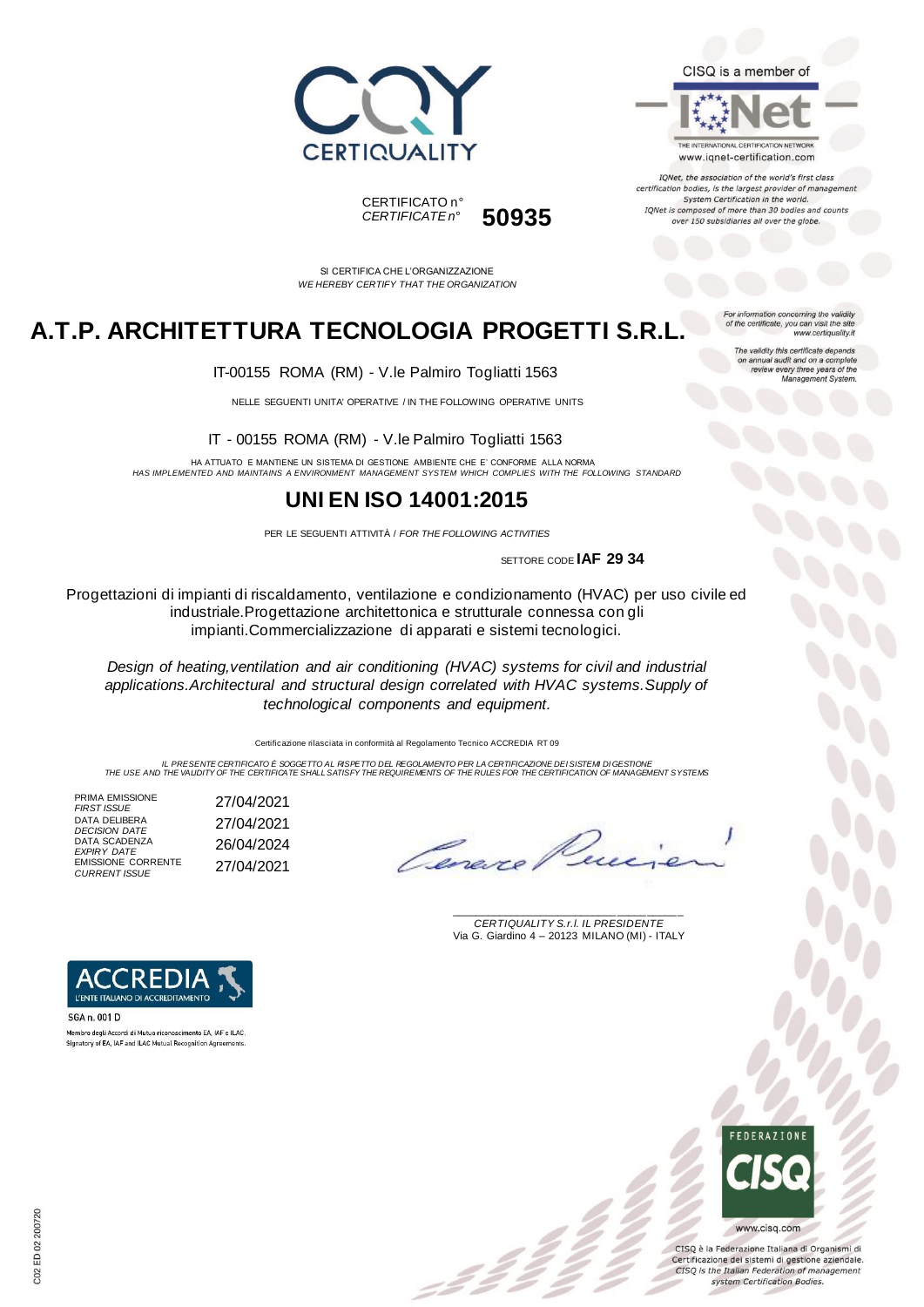

#### CISQ is a member of



IQNet, the association of the world's first class certification bodies, is the largest provider of manageme System Certification in the world. IQNet is composed of more than 30 bodies and counts over 150 subsidiaries all over the globe.

> tion concerning the validity of the certificate, you can visit the sit

The validity this certificate depends on annual audit and on a complete<br>review every three years of the<br>Management System.

www.certiquality.it

CERTIFICATO n° *CERTIFICATE n°* **50935**

SI CERTIFICA CHE L'ORGANIZZAZIONE *WE HEREBY CERTIFY THAT THE ORGANIZATION*

## **A.T.P. ARCHITETTURA TECNOLOGIA PROGETTI S.R.L.**

IT-00155 ROMA (RM) - V.le Palmiro Togliatti 1563

NELLE SEGUENTI UNITA' OPERATIVE / IN THE FOLLOWING OPERATIVE UNITS

IT - 00155 ROMA (RM) - V.le Palmiro Togliatti 1563

HA ATTUATO E MANTIENE UN SISTEMA DI GESTIONE AMBIENTE CHE E' CONFORME ALLA NORMA *HAS IMPLEMENTED AND MAINTAINS A ENVIRONMENT MANAGEMENT SYSTEM WHICH COMPLIES WITH THE FOLLOWING STANDARD*

### **UNI EN ISO 14001:2015**

PER LE SEGUENTI ATTIVITÀ / *FOR THE FOLLOWING ACTIVITIES*

SETTORE CODE **IAF 29 34**

Progettazioni di impianti di riscaldamento, ventilazione e condizionamento (HVAC) per uso civile ed industriale.Progettazione architettonica e strutturale connessa con gli impianti.Commercializzazione di apparati e sistemi tecnologici.

*Design of heating,ventilation and air conditioning (HVAC) systems for civil and industrial applications.Architectural and structural design correlated with HVAC systems.Supply of technological components and equipment.*

Certificazione rilasciata in conformità al Regolamento Tecnico ACCREDIA RT 09

IL PRESENTE CERTIFICATO E SOGGETTO AL RISPETTO DE REGOLAMENTO PER LA CERTIFICAZIONE DEI SISTEM DI GESTIONE<br>THE USE AND THE VALIDITY OF THE CERTIFICATE SHALL SATISFY THE REQUIREMENTS OF THE RULES FOR THE CERTIFICATION OF MA

PRIMA EMISSIONE<br>FIRST ISSUE DATA DELIBERA *DECISION DATE* 27/04/2021 DATA SCADENZA *EXPIRY DATE* 26/04/2024 EMISSIONE CORRENTE *CURRENT ISSUE* 27/04/2021

Canero

\_\_\_\_\_\_\_\_\_\_\_\_\_\_\_\_\_\_\_\_\_\_\_\_\_\_\_\_\_\_\_\_\_\_\_\_\_\_\_ *CERTIQUALITY S.r.l. IL PRESIDENTE* Via G. Giardino 4 – 20123 MILANO (MI) - ITALY



Membro degli Accordi di Mutuo riconoscimento EA, IAF e ILAC.<br>Signatory of EA, IAF and ILAC Mutual Recognition Agreements



CISO è la Federazione Italiana di Organismi di Certificazione dei sistemi di gestione aziendale. CISQ is the Italian Federation of management system Certification Bodies.

*FIRST ISSUE* 27/04/2021